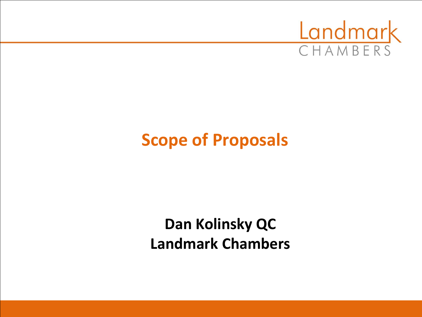

## **Scope of Proposals**

**Dan Kolinsky QC Landmark Chambers**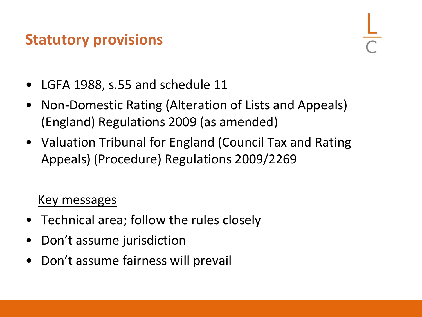#### **Statutory provisions**

- LGFA 1988, s.55 and schedule 11
- Non-Domestic Rating (Alteration of Lists and Appeals) (England) Regulations 2009 (as amended)
- Valuation Tribunal for England (Council Tax and Rating Appeals) (Procedure) Regulations 2009/2269

#### Key messages

- Technical area; follow the rules closely
- Don't assume jurisdiction
- Don't assume fairness will prevail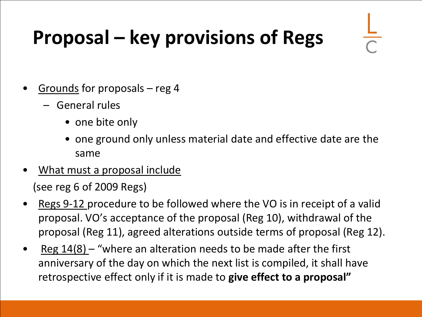# **Proposal – key provisions of Regs**

- Grounds for proposals reg 4
	- General rules
		- one bite only
		- one ground only unless material date and effective date are the same
- What must a proposal include

(see reg 6 of 2009 Regs)

- Regs 9-12 procedure to be followed where the VO is in receipt of a valid proposal. VO's acceptance of the proposal (Reg 10), withdrawal of the proposal (Reg 11), agreed alterations outside terms of proposal (Reg 12).
- $Reg 14(8)$  "where an alteration needs to be made after the first anniversary of the day on which the next list is compiled, it shall have retrospective effect only if it is made to **give effect to a proposal"**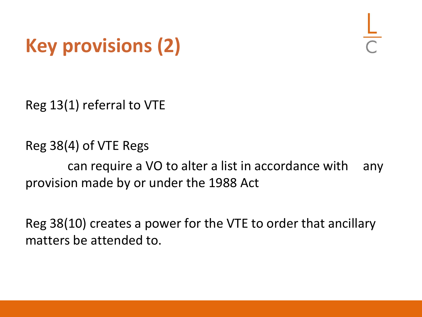# **Key provisions (2)**

Reg 13(1) referral to VTE

Reg 38(4) of VTE Regs can require a VO to alter a list in accordance with any provision made by or under the 1988 Act

Reg 38(10) creates a power for the VTE to order that ancillary matters be attended to.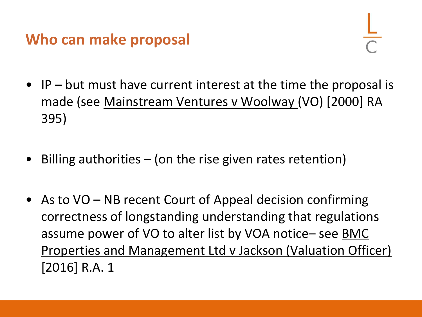#### **Who can make proposal**

- IP but must have current interest at the time the proposal is made (see Mainstream Ventures v Woolway (VO) [2000] RA 395)
- Billing authorities  $-$  (on the rise given rates retention)
- As to  $VO NB$  recent Court of Appeal decision confirming correctness of longstanding understanding that regulations assume power of VO to alter list by VOA notice– see **BMC** Properties and Management Ltd v Jackson (Valuation Officer) [2016] R.A. 1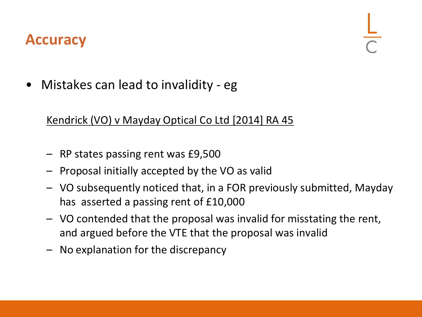#### **Accuracy**

• Mistakes can lead to invalidity - eg

#### Kendrick (VO) v Mayday Optical Co Ltd [2014] RA 45

- RP states passing rent was £9,500
- Proposal initially accepted by the VO as valid
- VO subsequently noticed that, in a FOR previously submitted, Mayday has asserted a passing rent of £10,000
- VO contended that the proposal was invalid for misstating the rent, and argued before the VTE that the proposal was invalid
- No explanation for the discrepancy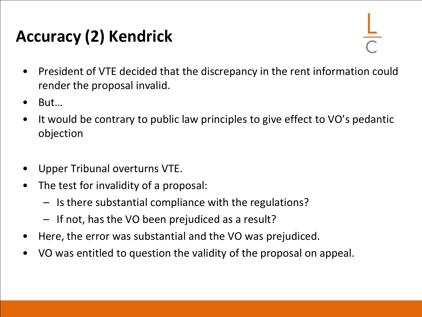## **Accuracy (2) Kendrick**

- President of VTE decided that the discrepancy in the rent information could render the proposal invalid.
- But…
- It would be contrary to public law principles to give effect to VO's pedantic objection
- Upper Tribunal overturns VTE.
- The test for invalidity of a proposal:
	- Is there substantial compliance with the regulations?
	- If not, has the VO been prejudiced as a result?
- Here, the error was substantial and the VO was prejudiced.
- VO was entitled to question the validity of the proposal on appeal.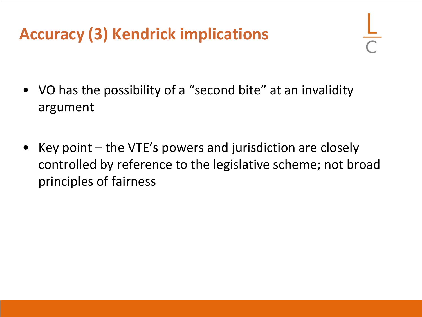## **Accuracy (3) Kendrick implications**

- VO has the possibility of a "second bite" at an invalidity argument
- Key point the VTE's powers and jurisdiction are closely controlled by reference to the legislative scheme; not broad principles of fairness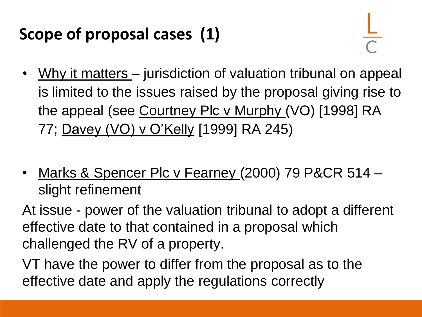## **Scope of proposal cases (1)**

- Why it matters jurisdiction of valuation tribunal on appeal is limited to the issues raised by the proposal giving rise to the appeal (see Courtney Plc v Murphy (VO) [1998] RA 77; Davey (VO) v O'Kelly [1999] RA 245)
- Marks & Spencer Plc v Fearney (2000) 79 P&CR 514 slight refinement

At issue - power of the valuation tribunal to adopt a different effective date to that contained in a proposal which challenged the RV of a property.

VT have the power to differ from the proposal as to the effective date and apply the regulations correctly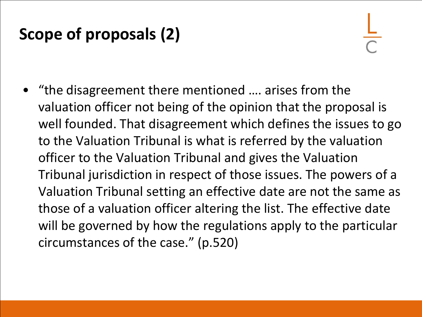## **Scope of proposals (2)**

• "the disagreement there mentioned …. arises from the valuation officer not being of the opinion that the proposal is well founded. That disagreement which defines the issues to go to the Valuation Tribunal is what is referred by the valuation officer to the Valuation Tribunal and gives the Valuation Tribunal jurisdiction in respect of those issues. The powers of a Valuation Tribunal setting an effective date are not the same as those of a valuation officer altering the list. The effective date will be governed by how the regulations apply to the particular circumstances of the case." (p.520)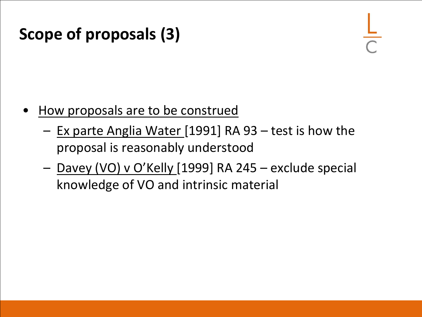#### **Scope of proposals (3)**

- How proposals are to be construed
	- Ex parte Anglia Water [1991] RA 93 test is how the proposal is reasonably understood
	- Davey (VO) v O'Kelly [1999] RA 245 exclude special knowledge of VO and intrinsic material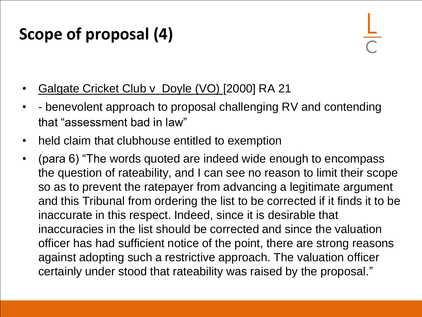## **Scope of proposal (4)**

- Galgate Cricket Club v Doyle (VO) [2000] RA 21
- - benevolent approach to proposal challenging RV and contending that "assessment bad in law"
- held claim that clubhouse entitled to exemption
- (para 6) "The words quoted are indeed wide enough to encompass the question of rateability, and I can see no reason to limit their scope so as to prevent the ratepayer from advancing a legitimate argument and this Tribunal from ordering the list to be corrected if it finds it to be inaccurate in this respect. Indeed, since it is desirable that inaccuracies in the list should be corrected and since the valuation officer has had sufficient notice of the point, there are strong reasons against adopting such a restrictive approach. The valuation officer certainly under stood that rateability was raised by the proposal."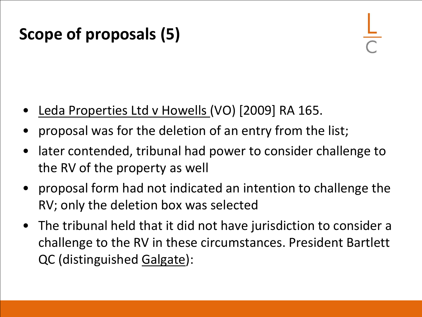## **Scope of proposals (5)**

- Leda Properties Ltd v Howells (VO) [2009] RA 165.
- proposal was for the deletion of an entry from the list;
- later contended, tribunal had power to consider challenge to the RV of the property as well
- proposal form had not indicated an intention to challenge the RV; only the deletion box was selected
- The tribunal held that it did not have jurisdiction to consider a challenge to the RV in these circumstances. President Bartlett QC (distinguished Galgate):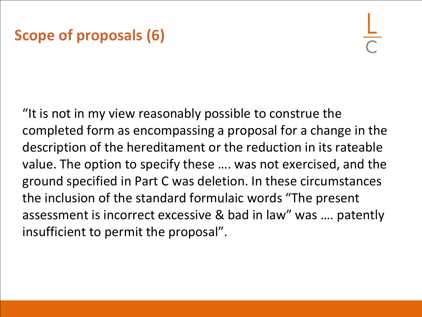#### **Scope of proposals (6)**

"It is not in my view reasonably possible to construe the completed form as encompassing a proposal for a change in the description of the hereditament or the reduction in its rateable value. The option to specify these …. was not exercised, and the ground specified in Part C was deletion. In these circumstances the inclusion of the standard formulaic words "The present assessment is incorrect excessive & bad in law" was …. patently insufficient to permit the proposal".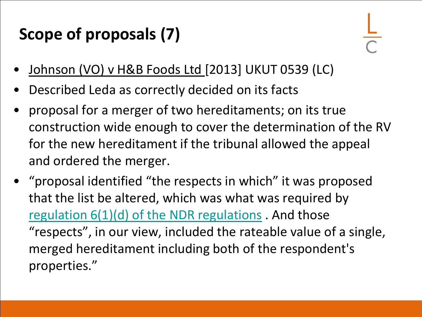## **Scope of proposals (7)**

- Johnson (VO) v H&B Foods Ltd [2013] UKUT 0539 (LC)
- Described Leda as correctly decided on its facts
- proposal for a merger of two hereditaments; on its true construction wide enough to cover the determination of the RV for the new hereditament if the tribunal allowed the appeal and ordered the merger.
- "proposal identified "the respects in which" it was proposed that the list be altered, which was what was required by [regulation 6\(1\)\(d\) of the NDR regulations](http://login.westlaw.co.uk/maf/wluk/app/document?src=doc&linktype=ref&context=24&crumb-action=replace&docguid=I0A0A5580990111DE97F89727CBD3F5CA) . And those "respects", in our view, included the rateable value of a single, merged hereditament including both of the respondent's properties."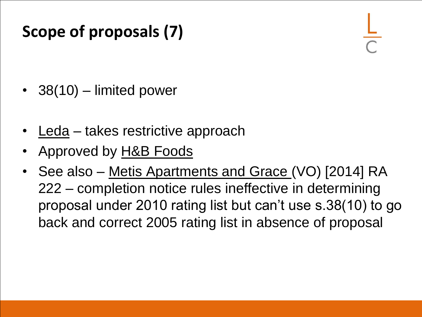## **Scope of proposals (7)**

- 38(10) limited power
- Leda takes restrictive approach
- Approved by H&B Foods
- See also Metis Apartments and Grace (VO) [2014] RA 222 – completion notice rules ineffective in determining proposal under 2010 rating list but can't use s.38(10) to go back and correct 2005 rating list in absence of proposal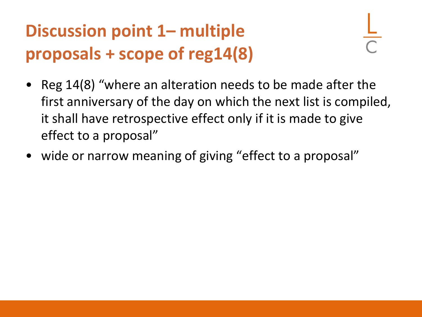# **Discussion point 1– multiple proposals + scope of reg14(8)**

- Reg 14(8) "where an alteration needs to be made after the first anniversary of the day on which the next list is compiled, it shall have retrospective effect only if it is made to give effect to a proposal"
- wide or narrow meaning of giving "effect to a proposal"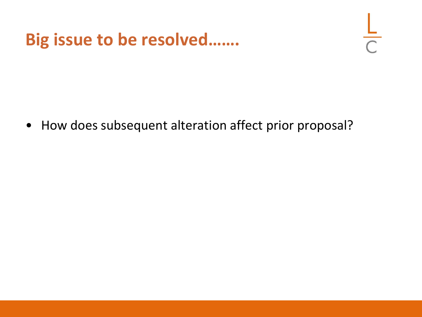#### **Big issue to be resolved…….**

• How does subsequent alteration affect prior proposal?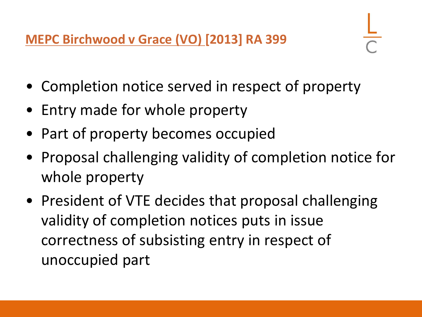**MEPC Birchwood v Grace (VO) [2013] RA 399** 

- Completion notice served in respect of property
- Entry made for whole property
- Part of property becomes occupied
- Proposal challenging validity of completion notice for whole property
- President of VTE decides that proposal challenging validity of completion notices puts in issue correctness of subsisting entry in respect of unoccupied part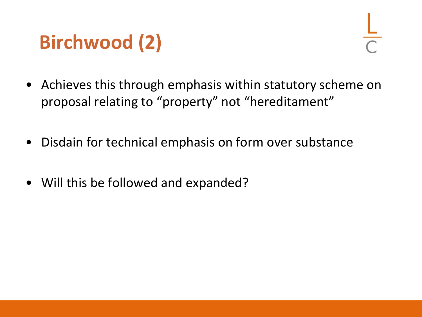# **Birchwood (2)**

- Achieves this through emphasis within statutory scheme on proposal relating to "property" not "hereditament"
- Disdain for technical emphasis on form over substance
- Will this be followed and expanded?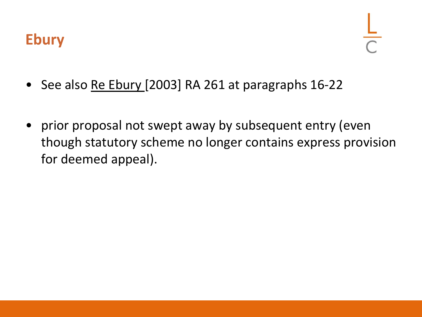

- See also Re Ebury [2003] RA 261 at paragraphs 16-22
- prior proposal not swept away by subsequent entry (even though statutory scheme no longer contains express provision for deemed appeal).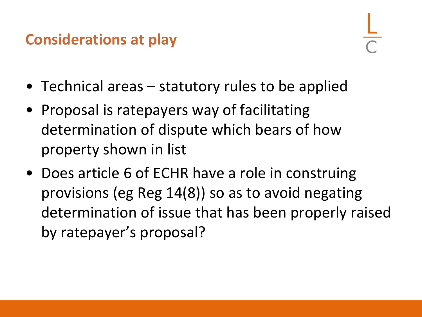#### **Considerations at play**

- Technical areas statutory rules to be applied
- Proposal is ratepayers way of facilitating determination of dispute which bears of how property shown in list
- Does article 6 of ECHR have a role in construing provisions (eg Reg 14(8)) so as to avoid negating determination of issue that has been properly raised by ratepayer's proposal?